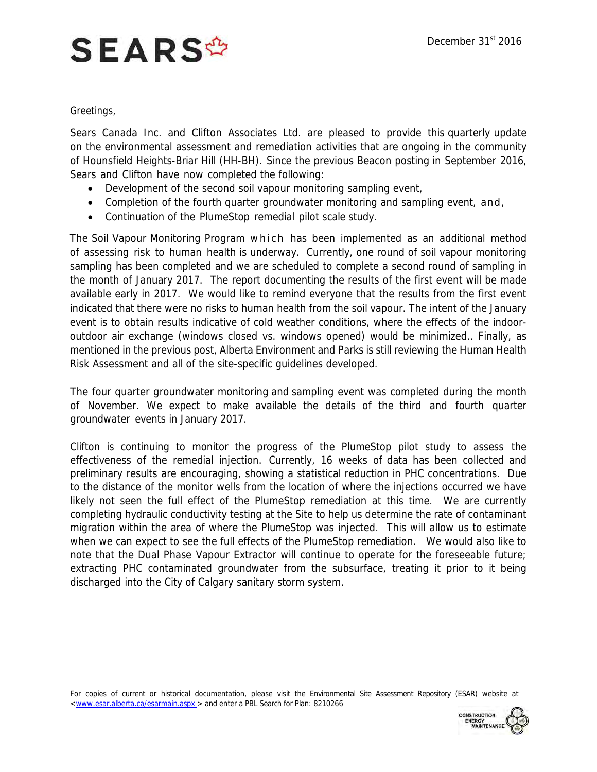## **SEARS<sup>\$</sup>**

## Greetings,

Sears Canada Inc. and Clifton Associates Ltd. are pleased to provide this quarterly update on the environmental assessment and remediation activities that are ongoing in the community of Hounsfield Heights-Briar Hill (HH-BH). Since the previous Beacon posting in September 2016, Sears and Clifton have now completed the following:

- Development of the second soil vapour monitoring sampling event,
- Completion of the fourth quarter groundwater monitoring and sampling event, and,
- Continuation of the PlumeStop remedial pilot scale study.

The Soil Vapour Monitoring Program which has been implemented as an additional method of assessing risk to human health is underway. Currently, one round of soil vapour monitoring sampling has been completed and we are scheduled to complete a second round of sampling in the month of January 2017. The report documenting the results of the first event will be made available early in 2017. We would like to remind everyone that the results from the first event indicated that there were no risks to human health from the soil vapour. The intent of the January event is to obtain results indicative of cold weather conditions, where the effects of the indooroutdoor air exchange (windows closed vs. windows opened) would be minimized.. Finally, as mentioned in the previous post, Alberta Environment and Parks is still reviewing the Human Health Risk Assessment and all of the site-specific guidelines developed.

The four quarter groundwater monitoring and sampling event was completed during the month of November. We expect to make available the details of the third and fourth quarter groundwater events in January 2017.

Clifton is continuing to monitor the progress of the PlumeStop pilot study to assess the effectiveness of the remedial injection. Currently, 16 weeks of data has been collected and preliminary results are encouraging, showing a statistical reduction in PHC concentrations. Due to the distance of the monitor wells from the location of where the injections occurred we have likely not seen the full effect of the PlumeStop remediation at this time. We are currently completing hydraulic conductivity testing at the Site to help us determine the rate of contaminant migration within the area of where the PlumeStop was injected. This will allow us to estimate when we can expect to see the full effects of the PlumeStop remediation. We would also like to note that the Dual Phase Vapour Extractor will continue to operate for the foreseeable future; extracting PHC contaminated groundwater from the subsurface, treating it prior to it being discharged into the City of Calgary sanitary storm system.

For copies of current or historical documentation, please visit the Environmental Site Assessment Repository (ESAR) website at [<www.esar.alberta.ca/esarmain.aspx](http://www.esar.alberta.ca/esarmain.aspx) > and enter a PBL Search for Plan: 8210266